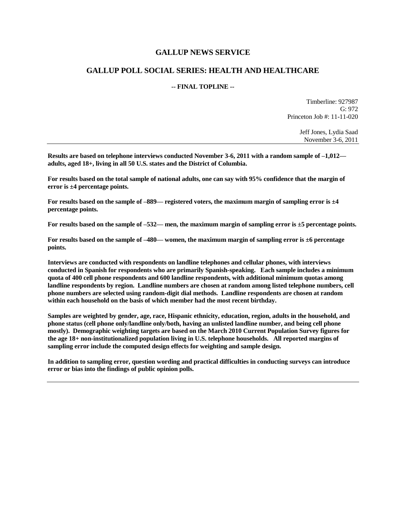#### **GALLUP NEWS SERVICE**

### **GALLUP POLL SOCIAL SERIES: HEALTH AND HEALTHCARE**

#### **-- FINAL TOPLINE --**

Timberline: 927987 G: 972 Princeton Job #: 11-11-020

> Jeff Jones, Lydia Saad November 3-6, 2011

**Results are based on telephone interviews conducted November 3-6, 2011 with a random sample of –1,012 adults, aged 18+, living in all 50 U.S. states and the District of Columbia.** 

**For results based on the total sample of national adults, one can say with 95% confidence that the margin of error is ±4 percentage points.**

**For results based on the sample of –889— registered voters, the maximum margin of sampling error is ±4 percentage points.**

**For results based on the sample of –532— men, the maximum margin of sampling error is ±5 percentage points.**

**For results based on the sample of –480— women, the maximum margin of sampling error is ±6 percentage points.**

**Interviews are conducted with respondents on landline telephones and cellular phones, with interviews conducted in Spanish for respondents who are primarily Spanish-speaking. Each sample includes a minimum quota of 400 cell phone respondents and 600 landline respondents, with additional minimum quotas among landline respondents by region. Landline numbers are chosen at random among listed telephone numbers, cell phone numbers are selected using random-digit dial methods. Landline respondents are chosen at random within each household on the basis of which member had the most recent birthday.** 

**Samples are weighted by gender, age, race, Hispanic ethnicity, education, region, adults in the household, and phone status (cell phone only/landline only/both, having an unlisted landline number, and being cell phone mostly). Demographic weighting targets are based on the March 2010 Current Population Survey figures for the age 18+ non-institutionalized population living in U.S. telephone households. All reported margins of sampling error include the computed design effects for weighting and sample design.** 

**In addition to sampling error, question wording and practical difficulties in conducting surveys can introduce error or bias into the findings of public opinion polls.**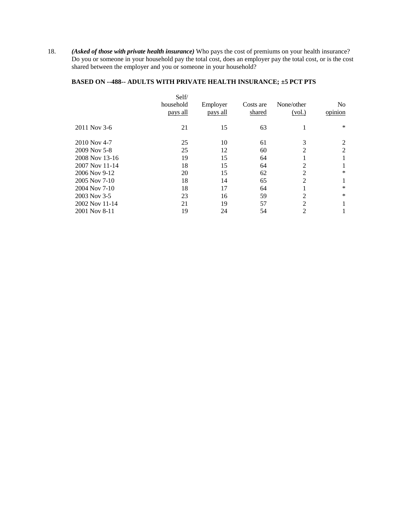18. *(Asked of those with private health insurance)* Who pays the cost of premiums on your health insurance? Do you or someone in your household pay the total cost, does an employer pay the total cost, or is the cost shared between the employer and you or someone in your household?

# **BASED ON --488-- ADULTS WITH PRIVATE HEALTH INSURANCE; ±5 PCT PTS**

|                | Self/<br>household<br>pays all | Employer<br>pays all | Costs are<br>shared | None/other<br>(vol.) | N <sub>0</sub><br>opinion |
|----------------|--------------------------------|----------------------|---------------------|----------------------|---------------------------|
| 2011 Nov 3-6   | 21                             | 15                   | 63                  |                      | $\ast$                    |
| 2010 Nov 4-7   | 25                             | 10                   | 61                  | 3                    | 2                         |
| 2009 Nov 5-8   | 25                             | 12                   | 60                  | 2                    | 2                         |
| 2008 Nov 13-16 | 19                             | 15                   | 64                  |                      | 1                         |
| 2007 Nov 11-14 | 18                             | 15                   | 64                  | 2                    |                           |
| 2006 Nov 9-12  | 20                             | 15                   | 62                  | 2                    | *                         |
| 2005 Nov 7-10  | 18                             | 14                   | 65                  | $\overline{2}$       |                           |
| 2004 Nov 7-10  | 18                             | 17                   | 64                  |                      | $\ast$                    |
| 2003 Nov 3-5   | 23                             | 16                   | 59                  | 2                    | $\ast$                    |
| 2002 Nov 11-14 | 21                             | 19                   | 57                  | $\overline{2}$       |                           |
| 2001 Nov 8-11  | 19                             | 24                   | 54                  | 2                    |                           |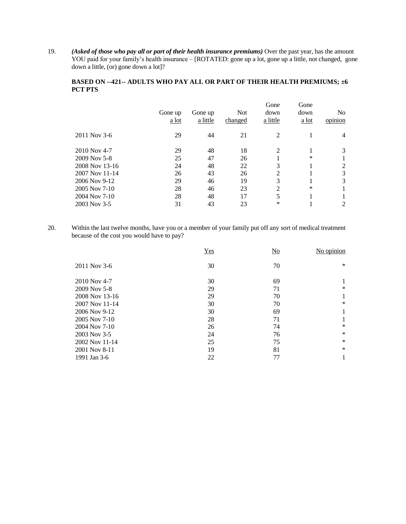19. *(Asked of those who pay all or part of their health insurance premiums)* Over the past year, has the amount YOU paid for your family's health insurance – [ROTATED: gone up a lot, gone up a little, not changed, gone down a little, (or) gone down a lot]?

#### **BASED ON --421-- ADULTS WHO PAY ALL OR PART OF THEIR HEALTH PREMIUMS; ±6 PCT PTS**

| Gone up<br>a lot | Gone up<br>a little | <b>Not</b><br>changed | Gone<br>down<br>a little | Gone<br>down<br>a lot | N <sub>0</sub><br>opinion |
|------------------|---------------------|-----------------------|--------------------------|-----------------------|---------------------------|
| 29               | 44                  | 21                    | 2                        |                       | 4                         |
| 29               | 48                  | 18                    | 2                        |                       | 3                         |
| 25               | 47                  | 26                    |                          | $\ast$                |                           |
| 24               | 48                  | 22                    | 3                        |                       | 2                         |
| 26               | 43                  | 26                    | 2                        |                       | 3                         |
| 29               | 46                  | 19                    | 3                        |                       | 3                         |
| 28               | 46                  | 23                    | $\overline{2}$           | $\ast$                |                           |
| 28               | 48                  | 17                    | 5                        |                       |                           |
| 31               | 43                  | 23                    | $\ast$                   |                       | 2                         |
|                  |                     |                       |                          |                       |                           |

20. Within the last twelve months, have you or a member of your family put off any sort of medical treatment because of the cost you would have to pay?

| Yes | No | No opinion |
|-----|----|------------|
| 30  | 70 | $\ast$     |
| 30  | 69 |            |
| 29  | 71 | $\ast$     |
| 29  | 70 | 1          |
| 30  | 70 | $\ast$     |
| 30  | 69 |            |
| 28  | 71 |            |
| 26  | 74 | $\ast$     |
| 24  | 76 | $\ast$     |
| 25  | 75 | $\ast$     |
| 19  | 81 | $\ast$     |
| 22  | 77 |            |
|     |    |            |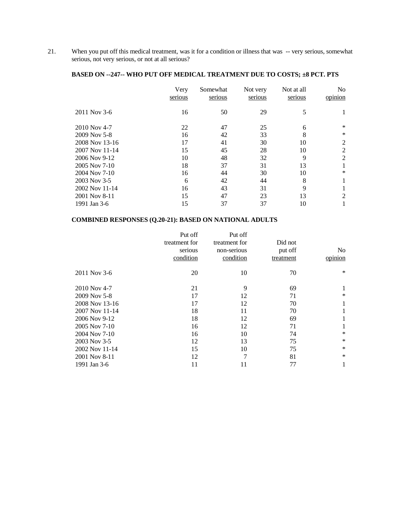21. When you put off this medical treatment, was it for a condition or illness that was -- very serious, somewhat serious, not very serious, or not at all serious?

# **BASED ON --247-- WHO PUT OFF MEDICAL TREATMENT DUE TO COSTS; ±8 PCT. PTS**

|                | Very<br>serious | Somewhat<br>serious | Not very<br>serious | Not at all<br>serious | No<br>opinion |
|----------------|-----------------|---------------------|---------------------|-----------------------|---------------|
| 2011 Nov 3-6   | 16              | 50                  | 29                  | 5                     |               |
| $2010$ Nov 4-7 | 22              | 47                  | 25                  | 6                     | $\ast$        |
| 2009 Nov 5-8   | 16              | 42                  | 33                  | 8                     | $\ast$        |
| 2008 Nov 13-16 | 17              | 41                  | 30                  | 10                    | 2             |
| 2007 Nov 11-14 | 15              | 45                  | 28                  | 10                    | 2             |
| 2006 Nov 9-12  | 10              | 48                  | 32                  | 9                     | 2             |
| 2005 Nov 7-10  | 18              | 37                  | 31                  | 13                    |               |
| 2004 Nov 7-10  | 16              | 44                  | 30                  | 10                    | $\ast$        |
| 2003 Nov 3-5   | 6               | 42                  | 44                  | 8                     |               |
| 2002 Nov 11-14 | 16              | 43                  | 31                  | 9                     |               |
| 2001 Nov 8-11  | 15              | 47                  | 23                  | 13                    | 2             |
| 1991 Jan 3-6   | 15              | 37                  | 37                  | 10                    |               |

# **COMBINED RESPONSES (Q.20-21): BASED ON NATIONAL ADULTS**

| Put off<br>treatment for<br>serious<br>condition | Put off<br>treatment for<br>non-serious<br>condition | Did not<br>put off<br>treatment | No.<br>opinion |
|--------------------------------------------------|------------------------------------------------------|---------------------------------|----------------|
| 20                                               | 10                                                   | 70                              | $\ast$         |
| 21                                               | 9                                                    | 69                              | 1              |
| 17                                               | 12                                                   | 71                              | $\ast$         |
| 17                                               | 12                                                   | 70                              | 1              |
| 18                                               | 11                                                   | 70                              | 1              |
| 18                                               | 12                                                   | 69                              | 1              |
| 16                                               | 12                                                   | 71                              | 1              |
| 16                                               | 10                                                   | 74                              | $\ast$         |
| 12                                               | 13                                                   | 75                              | $\ast$         |
| 15                                               | 10                                                   | 75                              | $\ast$         |
| 12                                               | 7                                                    | 81                              | $\ast$         |
| 11                                               | 11                                                   | 77                              | 1              |
|                                                  |                                                      |                                 |                |